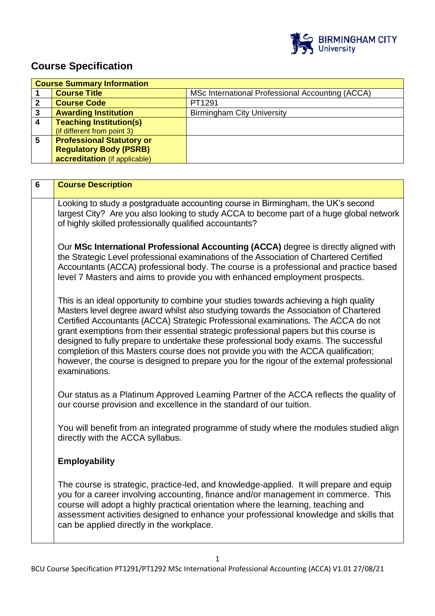

# **Course Specification**

|                        | <b>Course Summary Information</b> |                                                  |  |  |
|------------------------|-----------------------------------|--------------------------------------------------|--|--|
|                        | <b>Course Title</b>               | MSc International Professional Accounting (ACCA) |  |  |
|                        | <b>Course Code</b>                | PT1291                                           |  |  |
| 3                      | <b>Awarding Institution</b>       | <b>Birmingham City University</b>                |  |  |
| $\boldsymbol{\Lambda}$ | <b>Teaching Institution(s)</b>    |                                                  |  |  |
|                        | (if different from point 3)       |                                                  |  |  |
| 5                      | <b>Professional Statutory or</b>  |                                                  |  |  |
|                        | <b>Regulatory Body (PSRB)</b>     |                                                  |  |  |
|                        | accreditation (if applicable)     |                                                  |  |  |
|                        |                                   |                                                  |  |  |

| 6 | <b>Course Description</b>                                                                                                                                                                                                                                                                                                                                                                                                                                                                                                                                                                                                                                  |  |
|---|------------------------------------------------------------------------------------------------------------------------------------------------------------------------------------------------------------------------------------------------------------------------------------------------------------------------------------------------------------------------------------------------------------------------------------------------------------------------------------------------------------------------------------------------------------------------------------------------------------------------------------------------------------|--|
|   | Looking to study a postgraduate accounting course in Birmingham, the UK's second<br>largest City? Are you also looking to study ACCA to become part of a huge global network<br>of highly skilled professionally qualified accountants?                                                                                                                                                                                                                                                                                                                                                                                                                    |  |
|   | Our MSc International Professional Accounting (ACCA) degree is directly aligned with<br>the Strategic Level professional examinations of the Association of Chartered Certified<br>Accountants (ACCA) professional body. The course is a professional and practice based<br>level 7 Masters and aims to provide you with enhanced employment prospects.                                                                                                                                                                                                                                                                                                    |  |
|   | This is an ideal opportunity to combine your studies towards achieving a high quality<br>Masters level degree award whilst also studying towards the Association of Chartered<br>Certified Accountants (ACCA) Strategic Professional examinations. The ACCA do not<br>grant exemptions from their essential strategic professional papers but this course is<br>designed to fully prepare to undertake these professional body exams. The successful<br>completion of this Masters course does not provide you with the ACCA qualification;<br>however, the course is designed to prepare you for the rigour of the external professional<br>examinations. |  |
|   | Our status as a Platinum Approved Learning Partner of the ACCA reflects the quality of<br>our course provision and excellence in the standard of our tuition.                                                                                                                                                                                                                                                                                                                                                                                                                                                                                              |  |
|   | You will benefit from an integrated programme of study where the modules studied align<br>directly with the ACCA syllabus.                                                                                                                                                                                                                                                                                                                                                                                                                                                                                                                                 |  |
|   | <b>Employability</b>                                                                                                                                                                                                                                                                                                                                                                                                                                                                                                                                                                                                                                       |  |
|   | The course is strategic, practice-led, and knowledge-applied. It will prepare and equip<br>you for a career involving accounting, finance and/or management in commerce. This<br>course will adopt a highly practical orientation where the learning, teaching and<br>assessment activities designed to enhance your professional knowledge and skills that<br>can be applied directly in the workplace.                                                                                                                                                                                                                                                   |  |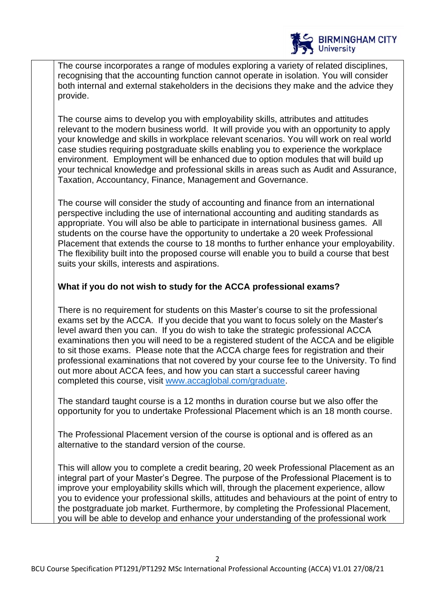

The course incorporates a range of modules exploring a variety of related disciplines, recognising that the accounting function cannot operate in isolation. You will consider both internal and external stakeholders in the decisions they make and the advice they provide.

The course aims to develop you with employability skills, attributes and attitudes relevant to the modern business world. It will provide you with an opportunity to apply your knowledge and skills in workplace relevant scenarios. You will work on real world case studies requiring postgraduate skills enabling you to experience the workplace environment. Employment will be enhanced due to option modules that will build up your technical knowledge and professional skills in areas such as Audit and Assurance, Taxation, Accountancy, Finance, Management and Governance.

The course will consider the study of accounting and finance from an international perspective including the use of international accounting and auditing standards as appropriate. You will also be able to participate in international business games. All students on the course have the opportunity to undertake a 20 week Professional Placement that extends the course to 18 months to further enhance your employability. The flexibility built into the proposed course will enable you to build a course that best suits your skills, interests and aspirations.

# **What if you do not wish to study for the ACCA professional exams?**

There is no requirement for students on this Master's course to sit the professional exams set by the ACCA. If you decide that you want to focus solely on the Master's level award then you can. If you do wish to take the strategic professional ACCA examinations then you will need to be a registered student of the ACCA and be eligible to sit those exams. Please note that the ACCA charge fees for registration and their professional examinations that not covered by your course fee to the University. To find out more about ACCA fees, and how you can start a successful career having completed this course, visit [www.accaglobal.com/graduate.](http://www.accaglobal.com/graduate)

The standard taught course is a 12 months in duration course but we also offer the opportunity for you to undertake Professional Placement which is an 18 month course.

The Professional Placement version of the course is optional and is offered as an alternative to the standard version of the course.

This will allow you to complete a credit bearing, 20 week Professional Placement as an integral part of your Master's Degree. The purpose of the Professional Placement is to improve your employability skills which will, through the placement experience, allow you to evidence your professional skills, attitudes and behaviours at the point of entry to the postgraduate job market. Furthermore, by completing the Professional Placement, you will be able to develop and enhance your understanding of the professional work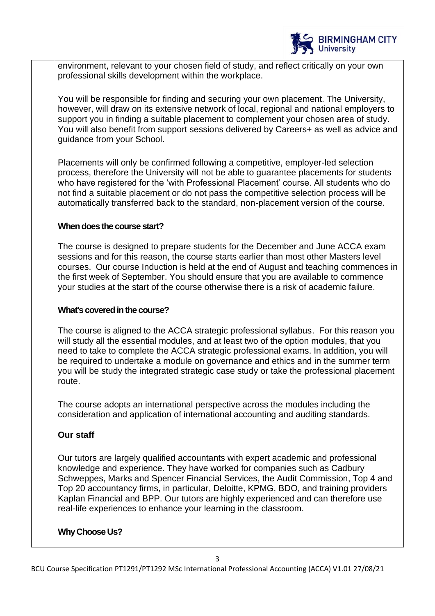

environment, relevant to your chosen field of study, and reflect critically on your own professional skills development within the workplace.

You will be responsible for finding and securing your own placement. The University, however, will draw on its extensive network of local, regional and national employers to support you in finding a suitable placement to complement your chosen area of study. You will also benefit from support sessions delivered by Careers+ as well as advice and guidance from your School.

Placements will only be confirmed following a competitive, employer-led selection process, therefore the University will not be able to guarantee placements for students who have registered for the 'with Professional Placement' course. All students who do not find a suitable placement or do not pass the competitive selection process will be automatically transferred back to the standard, non-placement version of the course.

## **When does the course start?**

The course is designed to prepare students for the December and June ACCA exam sessions and for this reason, the course starts earlier than most other Masters level courses. Our course Induction is held at the end of August and teaching commences in the first week of September. You should ensure that you are available to commence your studies at the start of the course otherwise there is a risk of academic failure.

## **What's covered in the course?**

The course is aligned to the ACCA strategic professional syllabus. For this reason you will study all the essential modules, and at least two of the option modules, that you need to take to complete the ACCA strategic professional exams. In addition, you will be required to undertake a module on governance and ethics and in the summer term you will be study the integrated strategic case study or take the professional placement route.

The course adopts an international perspective across the modules including the consideration and application of international accounting and auditing standards.

# **Our staff**

Our tutors are largely qualified accountants with expert academic and professional knowledge and experience. They have worked for companies such as Cadbury Schweppes, Marks and Spencer Financial Services, the Audit Commission, Top 4 and Top 20 accountancy firms, in particular, Deloitte, KPMG, BDO, and training providers Kaplan Financial and BPP. Our tutors are highly experienced and can therefore use real-life experiences to enhance your learning in the classroom.

# **Why Choose Us?**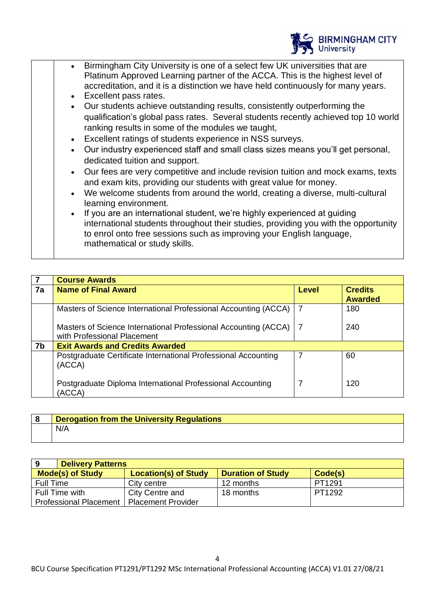

- Birmingham City University is one of a select few UK universities that are Platinum Approved Learning partner of the ACCA. This is the highest level of accreditation, and it is a distinction we have [held continuously for many years.](https://www.bcu.ac.uk/business-school/news-and-events/acca-platinum-status-retained)
- Excellent pass rates.
- Our students achieve outstanding results, consistently outperforming the qualification's global pass rates. Several students recently achieved top 10 world ranking results in some of the modules we taught,
- Excellent ratings of students experience in NSS surveys.
- Our industry experienced staff and small class sizes means you'll get personal, dedicated tuition and support.
- Our fees are very competitive and include revision tuition and mock exams, texts and exam kits, providing our students with great value for money.
- We welcome students from around the world, creating a diverse, multi-cultural learning environment.
- If you are an international student, we're highly experienced at guiding international students throughout their studies, providing you with the opportunity to enrol onto free sessions such as improving your English language, mathematical or study skills.

|    | <b>Course Awards</b>                                                                           |              |                                  |
|----|------------------------------------------------------------------------------------------------|--------------|----------------------------------|
| 7a | <b>Name of Final Award</b>                                                                     | <b>Level</b> | <b>Credits</b><br><b>Awarded</b> |
|    | Masters of Science International Professional Accounting (ACCA)                                | 7            | 180                              |
|    | Masters of Science International Professional Accounting (ACCA)<br>with Professional Placement | . 7          | 240                              |
| 7b | <b>Exit Awards and Credits Awarded</b>                                                         |              |                                  |
|    | Postgraduate Certificate International Professional Accounting<br>(ACCA)                       |              | 60                               |
|    | Postgraduate Diploma International Professional Accounting<br>(ACCA)                           |              | 120                              |

| <u>ິດ</u> | <b>Derogation from the University Regulations</b> |  |
|-----------|---------------------------------------------------|--|
|           | N/A                                               |  |

| 9<br><b>Delivery Patterns</b>               |                             |                          |         |
|---------------------------------------------|-----------------------------|--------------------------|---------|
| <b>Mode(s) of Study</b>                     | <b>Location(s) of Study</b> | <b>Duration of Study</b> | Code(s) |
| <b>Full Time</b>                            | City centre                 | 12 months                | PT1291  |
| Full Time with                              | City Centre and             | 18 months                | PT1292  |
| Professional Placement   Placement Provider |                             |                          |         |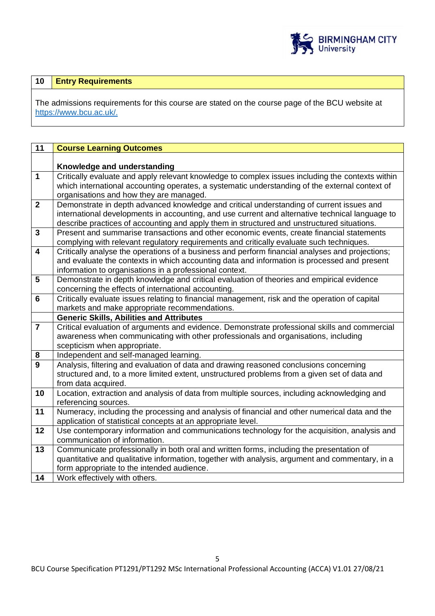

# **10 Entry Requirements**

The admissions requirements for this course are stated on the course page of the BCU website at [https://www.bcu.ac.uk/.](https://www.bcu.ac.uk/)

| $\overline{11}$         | <b>Course Learning Outcomes</b>                                                                                                                                                         |  |  |
|-------------------------|-----------------------------------------------------------------------------------------------------------------------------------------------------------------------------------------|--|--|
|                         |                                                                                                                                                                                         |  |  |
|                         | Knowledge and understanding                                                                                                                                                             |  |  |
| $\mathbf{1}$            | Critically evaluate and apply relevant knowledge to complex issues including the contexts within                                                                                        |  |  |
|                         | which international accounting operates, a systematic understanding of the external context of                                                                                          |  |  |
|                         | organisations and how they are managed.                                                                                                                                                 |  |  |
| $\overline{2}$          | Demonstrate in depth advanced knowledge and critical understanding of current issues and                                                                                                |  |  |
|                         | international developments in accounting, and use current and alternative technical language to                                                                                         |  |  |
| $\mathbf{3}$            | describe practices of accounting and apply them in structured and unstructured situations.<br>Present and summarise transactions and other economic events, create financial statements |  |  |
|                         | complying with relevant regulatory requirements and critically evaluate such techniques.                                                                                                |  |  |
| $\overline{\mathbf{4}}$ | Critically analyse the operations of a business and perform financial analyses and projections;                                                                                         |  |  |
|                         | and evaluate the contexts in which accounting data and information is processed and present                                                                                             |  |  |
|                         | information to organisations in a professional context.                                                                                                                                 |  |  |
| 5                       | Demonstrate in depth knowledge and critical evaluation of theories and empirical evidence                                                                                               |  |  |
|                         | concerning the effects of international accounting.                                                                                                                                     |  |  |
| 6                       | Critically evaluate issues relating to financial management, risk and the operation of capital                                                                                          |  |  |
|                         | markets and make appropriate recommendations.                                                                                                                                           |  |  |
|                         | <b>Generic Skills, Abilities and Attributes</b>                                                                                                                                         |  |  |
| $\overline{7}$          | Critical evaluation of arguments and evidence. Demonstrate professional skills and commercial                                                                                           |  |  |
|                         | awareness when communicating with other professionals and organisations, including                                                                                                      |  |  |
|                         | scepticism when appropriate.                                                                                                                                                            |  |  |
| 8                       | Independent and self-managed learning.                                                                                                                                                  |  |  |
| 9                       | Analysis, filtering and evaluation of data and drawing reasoned conclusions concerning                                                                                                  |  |  |
|                         | structured and, to a more limited extent, unstructured problems from a given set of data and                                                                                            |  |  |
|                         | from data acquired.                                                                                                                                                                     |  |  |
| 10                      | Location, extraction and analysis of data from multiple sources, including acknowledging and                                                                                            |  |  |
| 11                      | referencing sources.<br>Numeracy, including the processing and analysis of financial and other numerical data and the                                                                   |  |  |
|                         | application of statistical concepts at an appropriate level.                                                                                                                            |  |  |
| 12                      | Use contemporary information and communications technology for the acquisition, analysis and                                                                                            |  |  |
|                         | communication of information.                                                                                                                                                           |  |  |
| 13                      | Communicate professionally in both oral and written forms, including the presentation of                                                                                                |  |  |
|                         | quantitative and qualitative information, together with analysis, argument and commentary, in a                                                                                         |  |  |
|                         | form appropriate to the intended audience.                                                                                                                                              |  |  |
| 14                      | Work effectively with others.                                                                                                                                                           |  |  |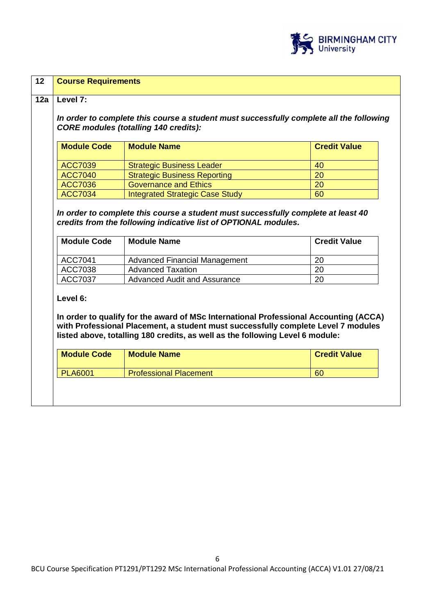

| <b>Module Code</b>                                              | <b>Module Name</b>                                                                                                                                                                                                                                          | <b>Credit Value</b> |
|-----------------------------------------------------------------|-------------------------------------------------------------------------------------------------------------------------------------------------------------------------------------------------------------------------------------------------------------|---------------------|
| <b>ACC7039</b>                                                  | <b>Strategic Business Leader</b>                                                                                                                                                                                                                            | 40                  |
| <b>ACC7040</b>                                                  | <b>Strategic Business Reporting</b>                                                                                                                                                                                                                         | 20                  |
| <b>ACC7036</b>                                                  | <b>Governance and Ethics</b>                                                                                                                                                                                                                                | 20                  |
| <b>ACC7034</b>                                                  | <b>Integrated Strategic Case Study</b>                                                                                                                                                                                                                      | 60                  |
| <b>Module Code</b>                                              | <b>Module Name</b>                                                                                                                                                                                                                                          | <b>Credit Value</b> |
| credits from the following indicative list of OPTIONAL modules. |                                                                                                                                                                                                                                                             |                     |
| <b>ACC7041</b>                                                  | <b>Advanced Financial Management</b>                                                                                                                                                                                                                        | 20                  |
| ACC7038                                                         | <b>Advanced Taxation</b>                                                                                                                                                                                                                                    | 20                  |
| ACC7037                                                         | <b>Advanced Audit and Assurance</b>                                                                                                                                                                                                                         | 20                  |
| Level 6:                                                        | In order to qualify for the award of MSc International Professional Accounting (ACCA)<br>with Professional Placement, a student must successfully complete Level 7 modules<br>listed above, totalling 180 credits, as well as the following Level 6 module: |                     |
| <b>Module Code</b>                                              | <b>Module Name</b>                                                                                                                                                                                                                                          | <b>Credit Value</b> |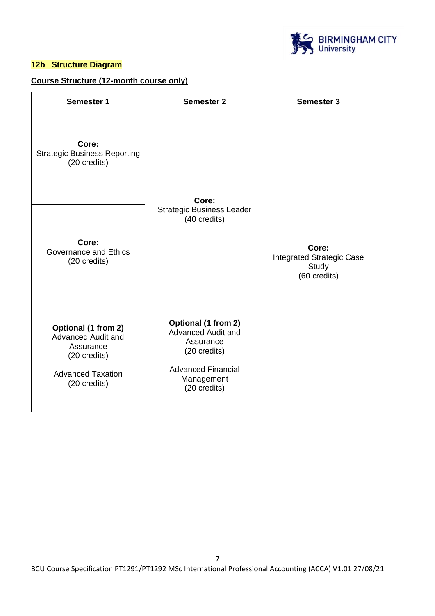

### **12b Structure Diagram**

## **Course Structure (12-month course only)**

| <b>Semester 1</b>                                                                                                  | <b>Semester 2</b>                                                                                                                        | <b>Semester 3</b>                                                  |
|--------------------------------------------------------------------------------------------------------------------|------------------------------------------------------------------------------------------------------------------------------------------|--------------------------------------------------------------------|
| Core:<br><b>Strategic Business Reporting</b><br>(20 credits)                                                       | Core:                                                                                                                                    |                                                                    |
| Core:<br><b>Governance and Ethics</b><br>(20 credits)                                                              | <b>Strategic Business Leader</b><br>(40 credits)                                                                                         | Core:<br><b>Integrated Strategic Case</b><br>Study<br>(60 credits) |
| Optional (1 from 2)<br>Advanced Audit and<br>Assurance<br>(20 credits)<br><b>Advanced Taxation</b><br>(20 credits) | Optional (1 from 2)<br><b>Advanced Audit and</b><br>Assurance<br>(20 credits)<br><b>Advanced Financial</b><br>Management<br>(20 credits) |                                                                    |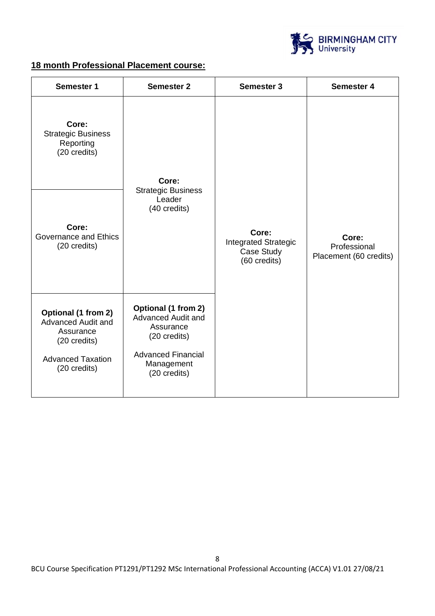

# **18 month Professional Placement course:**

| <b>Semester 1</b>                                                                                                         | <b>Semester 2</b>                                                                                                                 | Semester 3                                                  | <b>Semester 4</b>                               |
|---------------------------------------------------------------------------------------------------------------------------|-----------------------------------------------------------------------------------------------------------------------------------|-------------------------------------------------------------|-------------------------------------------------|
| Core:<br><b>Strategic Business</b><br>Reporting<br>(20 credits)                                                           | Core:                                                                                                                             |                                                             |                                                 |
| Core:<br><b>Governance and Ethics</b><br>(20 credits)                                                                     | <b>Strategic Business</b><br>Leader<br>(40 credits)                                                                               | Core:<br>Integrated Strategic<br>Case Study<br>(60 credits) | Core:<br>Professional<br>Placement (60 credits) |
| Optional (1 from 2)<br><b>Advanced Audit and</b><br>Assurance<br>(20 credits)<br><b>Advanced Taxation</b><br>(20 credits) | Optional (1 from 2)<br>Advanced Audit and<br>Assurance<br>(20 credits)<br><b>Advanced Financial</b><br>Management<br>(20 credits) |                                                             |                                                 |